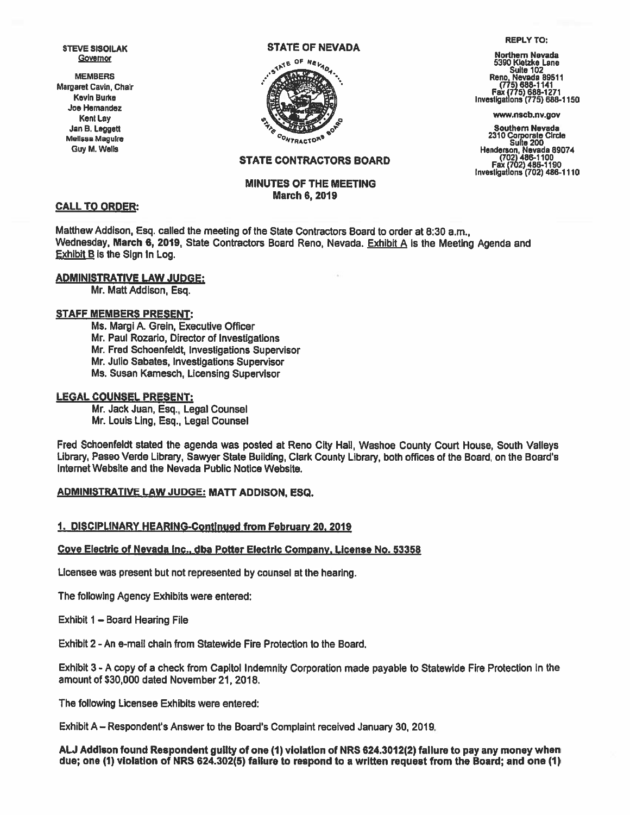STEVE SISOILAK Governor

MEMBERS Margaret Gavin, Chair Kevin Burke Joe Hernandez Kent Lay Jan B. Leggett Melissa Maguire Guy M, Wells

#### STATE OF NEVADA



#### REPLY TO:

Northern Nevada 5390 Kietzke Lane Suite 102<br>Reno. Nevada 89511<br>(775) 688-1141<br>Fax (775) 688-1271<br>Investigations (775) 688-1150

www.nscb.nv.gov

Southern Nevada <sup>2310</sup> Corporate Circle Suite <sup>200</sup> Henderson, Nevada 89074 (702)486-1100 Fax (702) 486-1190 Investigations (702) 486-1110

# STATE CONTRACTORS BOARD

# MINUTES OF THE MEETING March 6,2019

### CALL TO ORDER:

Matthew Addison, Esq. called the meeting of the State Contractors Board to order at 8:30 a.m., Wednesday, March 6, 2019, State Contractors Board Reno, Nevada. Exhibit A is the Meeting Agenda and Exhibit B is the Sign In Log.

### ADMINISTRATIVE LAW JUDGE:

Mr. Matt Addison, Esq.

#### STAFF MEMBERS PRESENT:

Ms. Margi A. Grein, Executive Officer Mr. Paul Rozario, Director of Investigations Mr. Fred Schoenfeldt, Investigations Supervisor Mr. Julio Sabates, Investigations Supervisor Ms. Susan Kamesch, Licensing Supervisor

#### LEGAL COUNSEL PRESENT:

Mr. Jack Juan, Esq., Legal Counsel Mr. Louis Ling, Esq., Legal Counsel

Fred Schoenfeldt stated the agenda was posted at Reno City Hall, Washoe County Court House, South Valleys Library, Paseo Verde Library, Sawyer State Building, Clark County Library, both offices of the Board, on the Board's Internet Website and the Nevada Public Notice Website.

# ADMINISTRATIVE LAW JUDGE: MATT ADDISON, ESQ.

#### 1. DISCIPLINARY HEARING-Continued from February 20, <sup>2019</sup>

#### Cove Electric of Nevada Inc., dba Potter Electric Company, License No. 53358

Licensee was presen<sup>t</sup> but not represented by counsel at the hearing.

The following Agency Exhibits were entered:

Exhibit 1 — Board Hearing File

Exhibit 2 - An e-mail chain from Statewide Fire Protection to the Board.

Exhibit 3 - A copy of <sup>a</sup> check from Capitol Indemnity Corporation made payable to Statewide Fire Protection in the amount of \$30,000 dated November21, 2018.

The following Licensee Exhibits were entered:

Exhibit A — Respondent's Answer to the Board's Complaint received January 30, 2019.

AU Addison found Respondent guilty of one (1) violation of NRS 624.3012(2) failure to pay any money when due; one (1) violation of NRS 624.302(5) failure to respond to <sup>a</sup> written reques<sup>t</sup> from the Board; and one (1)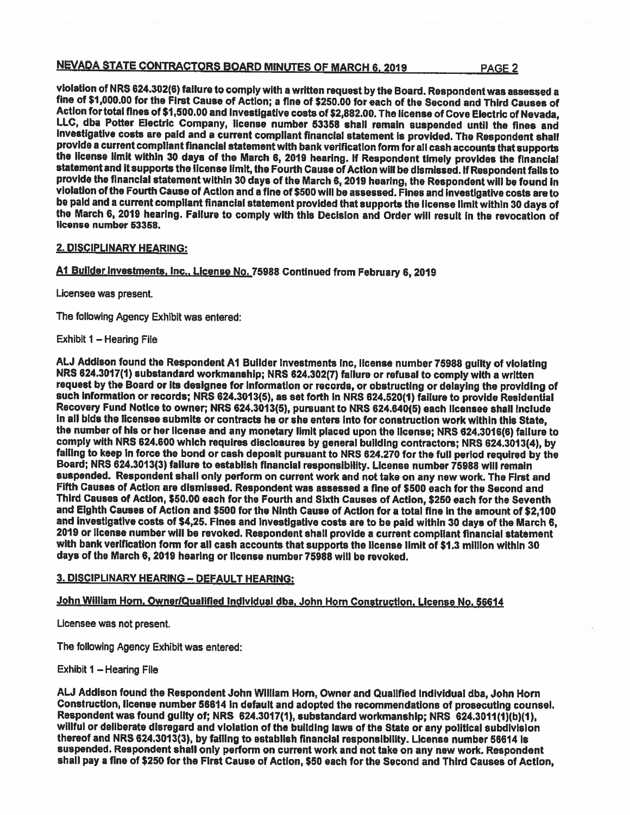# NEVADA STATE CONTRACTORS BOARD MINUTES OF MARCH 6, 2019 PAGE 2

violation of NRS 624.302(6) failure to comply with a written request by the Board. Respondent was assessed a<br>fine of \$1,000.00 for the First Cause of Action; a fine of \$250.00 for each of the Second and Third Causes of<br>Act LLC, dba Potter Electric Company, license number 53358 shall remain suspended until the fines and<br>investigative costs are paid and a current compliant financial statement is provided. The Respondent shall<br>provide a current

### 2. DISCiPLINARY HEARiNG:

Al Builder Investments. Inc.. License No.75988 Continued from February 6,2019

Licensee was present.

The following Agency Exhibit was entered:

Exhibit 1 — Hearing File

ALJ Addison found the Respondent A1 Builder Investments Inc, license number 75988 guilty of violating<br>NRS 624.3017(1) substandard workmanship; NRS 624.302(7) failure or refusal to comply with a written<br>request by the Board such information or records; NRS 624.3013(5), as set forth in NRS 624.520(1) failure to provide Residential<br>Recovery Fund Notice to owner; NRS 624.3013(5), pursuant to NRS 624.640(5) each licensee shall include<br>in all bids the number of his or her license and any monetary limit placed upon the license; NRS 624.3016(6) failure to<br>comply with NRS 624.600 which requires disclosures by general building contractors; NRS 624.3013(4), by failing to keep in force the bond or cash deposit pursuant to NRS 624.270 for the full period required by the<br>Board; NRS 624.3013(3) failure to establish financial responsibility. License number 75988 will remain<br>suspended Fifth Causes of Action are dismissed. Respondent was assessed a fine of \$500 each for the Second and Third Causes of Action, \$50.00 each for the Fourth and Sixth Causes of Action, \$250 each for the Seventh and Eighth Causes of Action and \$500 for the Ninth Cause of Action for <sup>a</sup> totai fine in the amount of \$2,100 and investigative costs of \$4,25. Fines and investigative costs are to be paid within 30 days of the March 6,<br>2019 or license number will be revoked. Respondent shall provide a current compliant financial statement<br>with ba

# 3. DISCIPLINARY HEARING — DEFAULT HEARING:

# John William Horn, Owner/Qualified Individual dba. John Horn Construction, License No. 56614

Licensee was not present.

The following Agency Exhibit was entered:

Exhibit I — Hearing File

AU Addison found the Respondent John William Horn, Owner and Qualified Individual dba, John Horn Construction, license number 56614 in default and adopted the recommendations of prosecuting counsel.<br>Respondent was found guilty of; NRS 624.3017(1), substandard workmanship; NRS 624.3011(1)(b)(1),<br>willful or deliberate d suspended. Respondent shall only perform on current work and not take on any new work. Respondent<br>shall pay a fine of \$250 for the First Cause of Action, \$50 each for the Second and Third Causes of Action,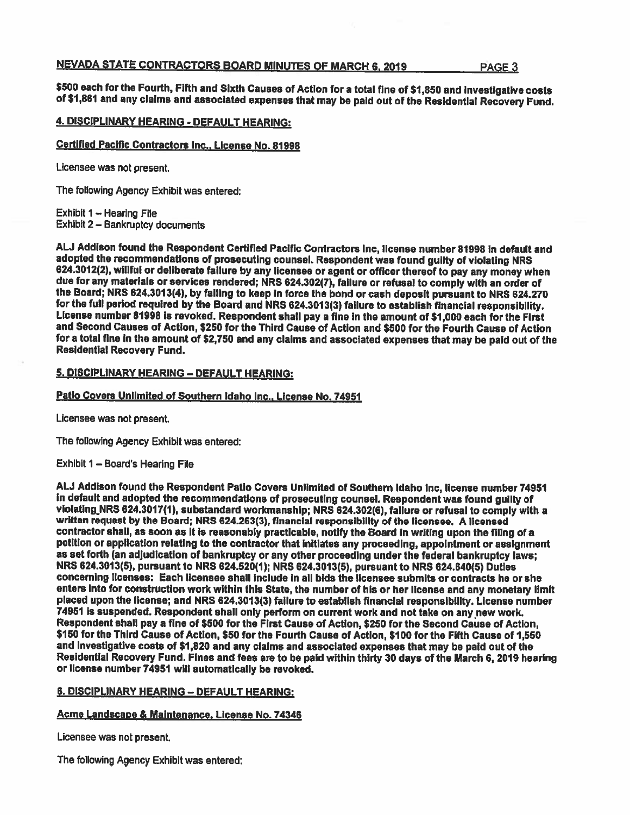# NEVADA STATE CONTRACTORS BOARD MINUTES OF MARCH 6, 2019 PAGE 3

\$500 each for the Fourth, Fifth and Sixth Causes of Action for a total fine of \$1,850 and investigative costs<br>of \$1,861 and any claims and associated expenses that may be paid out of the Residential Recovery Fund.

# 4. DISCIPLiNARY HEARING - DEFAULT HEARING:

### Certified Pacific Contractors Inc., License No. 81998

Licensee was not present.

The following Agency Exhibit was entered;

Exhibit 1 — Hearing File Exhibit 2 — Bankruptcy documents

ALJ Addison found the Respondent Certified Pacific Contractors Inc, license number 81998 in default and<br>adopted the recommendations of prosecuting counsel. Respondent was found guilty of violating NRS 624.3012(2), willful or deliberate failure by any licensee or agent or officer thereof to pay any money when<br>due for any materials or services rendered; NRS 624.302(7), failure or refusal to comply with an order of<br>the Boa and Second Causes of Action, \$250 for the Third Cause of Action and \$500 for the Fourth Cause of Action for a total fine in the amount of \$2,750 and any claims and associated expenses that may be paid out of the<br>Residential Recovery Fund.

# 5. DISCIPLINARY HEARING — DEFAULT HEARING:

# Patio Covers Unlimited of Southern Idaho Inc.. License No. 74951

Licensee was not present.

The following Agency Exhibit was entered:

Exhibit 1 — Board's Hearing File

ALJ Addison found the Respondent Patio Covers Unlimited of Southern Idaho Inc, license number 74951<br>In default and adopted the recommendations of prosecuting counsel. Respondent was found guilty of violating NRS 624.3017(1), substandard workmanship; NRS 624.302(6), failure or refusal to comply with a<br>written request by the Board; NRS 624.263(3), financial responsibility of the licensee. A licensed contractor shall, as soon as it Is reasonably practicable, notify the Board in writing upon the filing of <sup>a</sup> petition or application relating to the contractor that initiates any proceeding, appointment or assignment as set forth (an adjudication of bankruptcy or any other proceeding under the federal bankruptcy laws;<br>NRS 624.3013(5), pursuant to NRS 624.520(1); NRS 624.3013(5), pursuant to NRS 624.640(5) Dutles concerning licenses: Each licensee shall include in all bids the licensee submits or contracts he or she enters Into for construction work within this State, the number of his or her license and any monetary limit <sup>p</sup>laced upon the license; and NRS 624.3013(3) failure to establish financial responsibility. License number 74951 is suspended. Respondent shall only perform on current work and not take on any new work.<br>Respondent shall pay a fine of \$500 for the First Cause of Action, \$250 for the Second Cause of Action, \$150 for the Third Cause of Action, \$50 for the Fourth Cause of Action, \$100 for the Fifth Cause of 1,550 and investigative costs of \$1,820 and any claims and associated expenses that may be paid out of the<br>Residential Recovery Fund. Fines and fees are to be paid within thirty 30 days of the March 6, 2019 hearing or license number 74951 will automatically be revoked.

# 6. DiSCIPLINARY HEARING — DEFAULT HEARING:

# Acme Landscape & Maintenance. License No. 74346

Licensee was not present.

The following Agency Exhibit was entered;